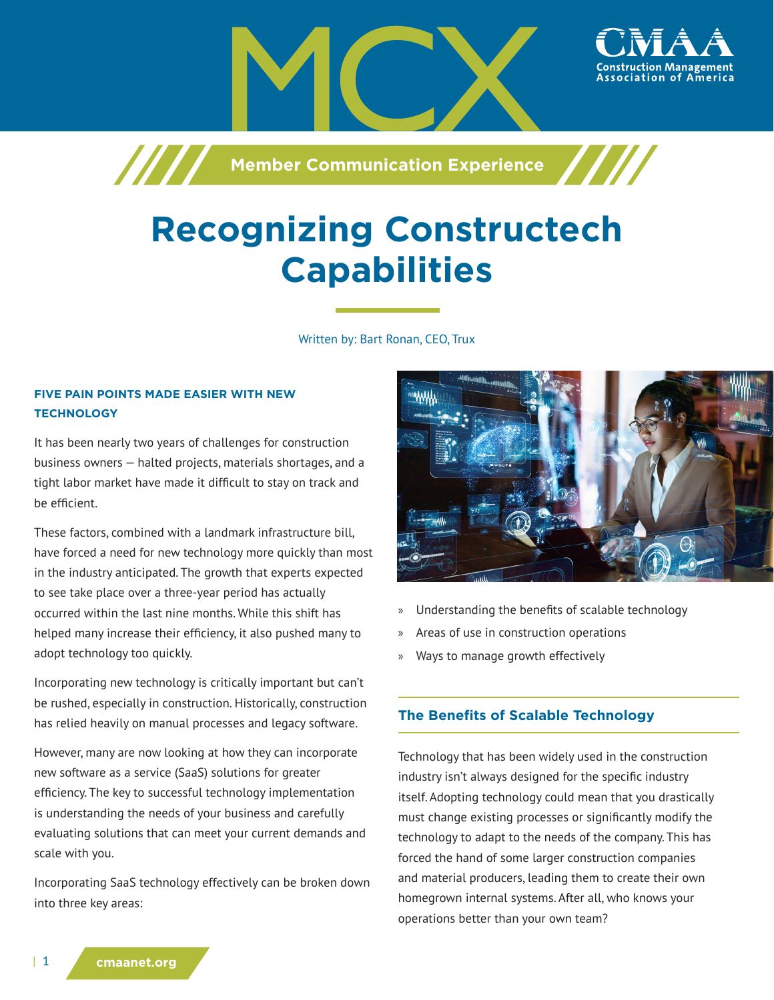

# **Recognizing Constructech Capabilities**

Written by: Bart Ronan, CEO, Trux

## **FIVE PAIN POINTS MADE EASIER WITH NEW TECHNOLOGY**

It has been nearly two years of challenges for construction business owners — halted projects, materials shortages, and a tight labor market have made it difficult to stay on track and be efficient.

These factors, combined with a landmark infrastructure bill, have forced a need for new technology more quickly than most in the industry anticipated. The growth that experts expected to see take place over a three-year period has actually occurred within the last nine months. While this shift has helped many increase their efficiency, it also pushed many to adopt technology too quickly.

Incorporating new technology is critically important but can't be rushed, especially in construction. Historically, construction has relied heavily on manual processes and legacy software.

However, many are now looking at how they can incorporate new software as a service (SaaS) solutions for greater efficiency. The key to successful technology implementation is understanding the needs of your business and carefully evaluating solutions that can meet your current demands and scale with you.

Incorporating SaaS technology effectively can be broken down into three key areas:



- » Understanding the benefits of scalable technology
- » Areas of use in construction operations
- » Ways to manage growth effectively

#### **The Benefits of Scalable Technology**

Technology that has been widely used in the construction industry isn't always designed for the specific industry itself. Adopting technology could mean that you drastically must change existing processes or significantly modify the technology to adapt to the needs of the company. This has forced the hand of some larger construction companies and material producers, leading them to create their own homegrown internal systems. After all, who knows your operations better than your own team?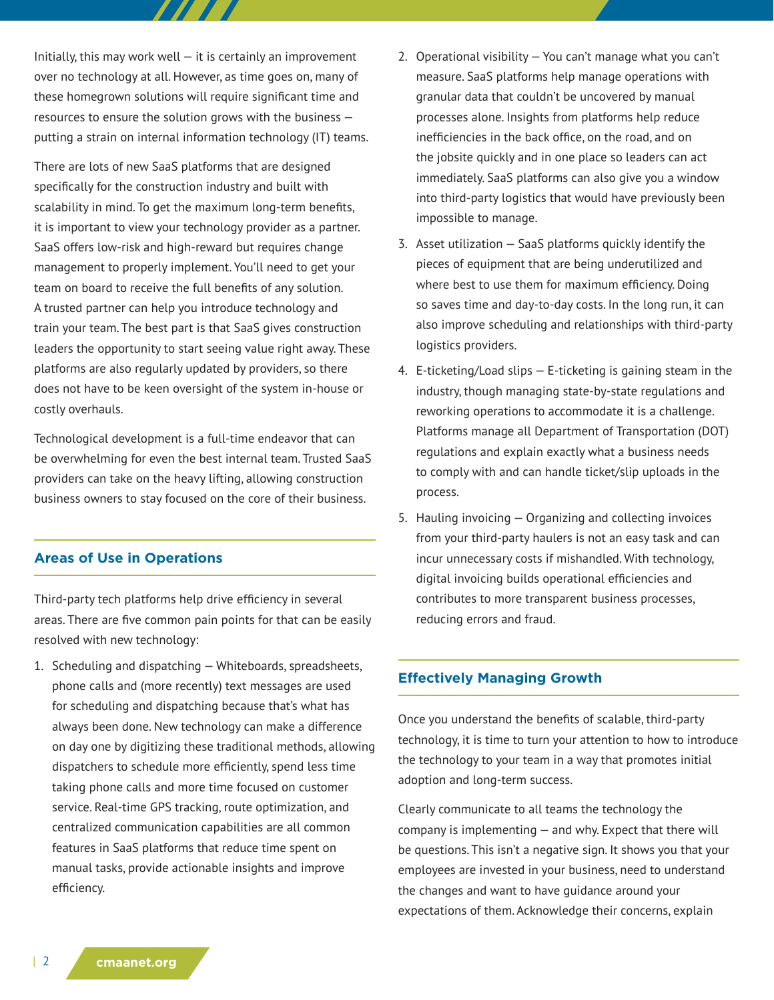Initially, this may work well  $-$  it is certainly an improvement over no technology at all. However, as time goes on, many of these homegrown solutions will require significant time and resources to ensure the solution grows with the business putting a strain on internal information technology (IT) teams.

 $\boldsymbol{H}$ 

There are lots of new SaaS platforms that are designed specifically for the construction industry and built with scalability in mind. To get the maximum long-term benefits, it is important to view your technology provider as a partner. SaaS offers low-risk and high-reward but requires change management to properly implement. You'll need to get your team on board to receive the full benefits of any solution. A trusted partner can help you introduce technology and train your team. The best part is that SaaS gives construction leaders the opportunity to start seeing value right away. These platforms are also regularly updated by providers, so there does not have to be keen oversight of the system in-house or costly overhauls.

Technological development is a full-time endeavor that can be overwhelming for even the best internal team. Trusted SaaS providers can take on the heavy lifting, allowing construction business owners to stay focused on the core of their business.

# **Areas of Use in Operations**

Third-party tech platforms help drive efficiency in several areas. There are five common pain points for that can be easily resolved with new technology:

1. Scheduling and dispatching — Whiteboards, spreadsheets, phone calls and (more recently) text messages are used for scheduling and dispatching because that's what has always been done. New technology can make a difference on day one by digitizing these traditional methods, allowing dispatchers to schedule more efficiently, spend less time taking phone calls and more time focused on customer service. Real-time GPS tracking, route optimization, and centralized communication capabilities are all common features in SaaS platforms that reduce time spent on manual tasks, provide actionable insights and improve efficiency.

- 2. Operational visibility You can't manage what you can't measure. SaaS platforms help manage operations with granular data that couldn't be uncovered by manual processes alone. Insights from platforms help reduce inefficiencies in the back office, on the road, and on the jobsite quickly and in one place so leaders can act immediately. SaaS platforms can also give you a window into third-party logistics that would have previously been impossible to manage.
- 3. Asset utilization SaaS platforms quickly identify the pieces of equipment that are being underutilized and where best to use them for maximum efficiency. Doing so saves time and day-to-day costs. In the long run, it can also improve scheduling and relationships with third-party logistics providers.
- 4. E-ticketing/Load slips E-ticketing is gaining steam in the industry, though managing state-by-state regulations and reworking operations to accommodate it is a challenge. Platforms manage all Department of Transportation (DOT) regulations and explain exactly what a business needs to comply with and can handle ticket/slip uploads in the process.
- 5. Hauling invoicing Organizing and collecting invoices from your third-party haulers is not an easy task and can incur unnecessary costs if mishandled. With technology, digital invoicing builds operational efficiencies and contributes to more transparent business processes, reducing errors and fraud.

#### **Effectively Managing Growth**

Once you understand the benefits of scalable, third-party technology, it is time to turn your attention to how to introduce the technology to your team in a way that promotes initial adoption and long-term success.

Clearly communicate to all teams the technology the company is implementing — and why. Expect that there will be questions. This isn't a negative sign. It shows you that your employees are invested in your business, need to understand the changes and want to have guidance around your expectations of them. Acknowledge their concerns, explain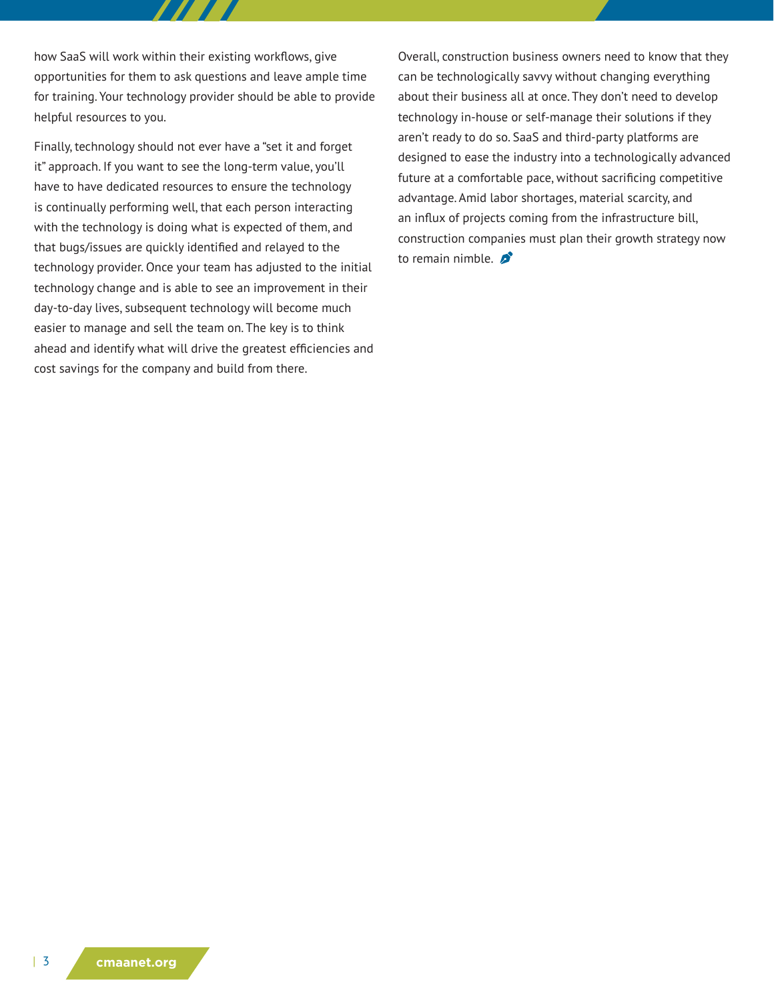how SaaS will work within their existing workflows, give opportunities for them to ask questions and leave ample time for training. Your technology provider should be able to provide helpful resources to you.

Finally, technology should not ever have a "set it and forget it" approach. If you want to see the long-term value, you'll have to have dedicated resources to ensure the technology is continually performing well, that each person interacting with the technology is doing what is expected of them, and that bugs/issues are quickly identified and relayed to the technology provider. Once your team has adjusted to the initial technology change and is able to see an improvement in their day-to-day lives, subsequent technology will become much easier to manage and sell the team on. The key is to think ahead and identify what will drive the greatest efficiencies and cost savings for the company and build from there.

Overall, construction business owners need to know that they can be technologically savvy without changing everything about their business all at once. They don't need to develop technology in-house or self-manage their solutions if they aren't ready to do so. SaaS and third-party platforms are designed to ease the industry into a technologically advanced future at a comfortable pace, without sacrificing competitive advantage. Amid labor shortages, material scarcity, and an influx of projects coming from the infrastructure bill, construction companies must plan their growth strategy now to remain nimble.  $\mathcal{L}$